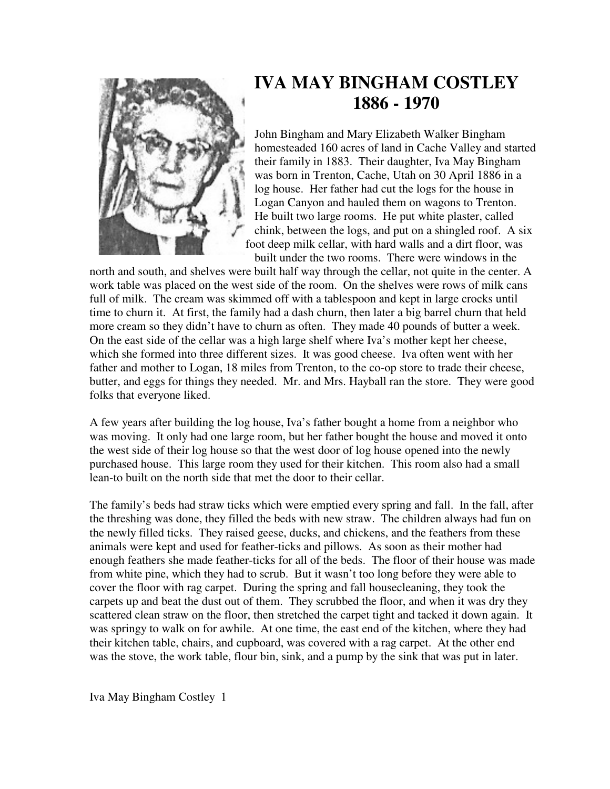

## **IVA MAY BINGHAM COSTLEY 1886 - 1970**

John Bingham and Mary Elizabeth Walker Bingham homesteaded 160 acres of land in Cache Valley and started their family in 1883. Their daughter, Iva May Bingham was born in Trenton, Cache, Utah on 30 April 1886 in a log house. Her father had cut the logs for the house in Logan Canyon and hauled them on wagons to Trenton. He built two large rooms. He put white plaster, called chink, between the logs, and put on a shingled roof. A six foot deep milk cellar, with hard walls and a dirt floor, was built under the two rooms. There were windows in the

north and south, and shelves were built half way through the cellar, not quite in the center. A work table was placed on the west side of the room. On the shelves were rows of milk cans full of milk. The cream was skimmed off with a tablespoon and kept in large crocks until time to churn it. At first, the family had a dash churn, then later a big barrel churn that held more cream so they didn't have to churn as often. They made 40 pounds of butter a week. On the east side of the cellar was a high large shelf where Iva's mother kept her cheese, which she formed into three different sizes. It was good cheese. Iva often went with her father and mother to Logan, 18 miles from Trenton, to the co-op store to trade their cheese, butter, and eggs for things they needed. Mr. and Mrs. Hayball ran the store. They were good folks that everyone liked.

A few years after building the log house, Iva's father bought a home from a neighbor who was moving. It only had one large room, but her father bought the house and moved it onto the west side of their log house so that the west door of log house opened into the newly purchased house. This large room they used for their kitchen. This room also had a small lean-to built on the north side that met the door to their cellar.

The family's beds had straw ticks which were emptied every spring and fall. In the fall, after the threshing was done, they filled the beds with new straw. The children always had fun on the newly filled ticks. They raised geese, ducks, and chickens, and the feathers from these animals were kept and used for feather-ticks and pillows. As soon as their mother had enough feathers she made feather-ticks for all of the beds. The floor of their house was made from white pine, which they had to scrub. But it wasn't too long before they were able to cover the floor with rag carpet. During the spring and fall housecleaning, they took the carpets up and beat the dust out of them. They scrubbed the floor, and when it was dry they scattered clean straw on the floor, then stretched the carpet tight and tacked it down again. It was springy to walk on for awhile. At one time, the east end of the kitchen, where they had their kitchen table, chairs, and cupboard, was covered with a rag carpet. At the other end was the stove, the work table, flour bin, sink, and a pump by the sink that was put in later.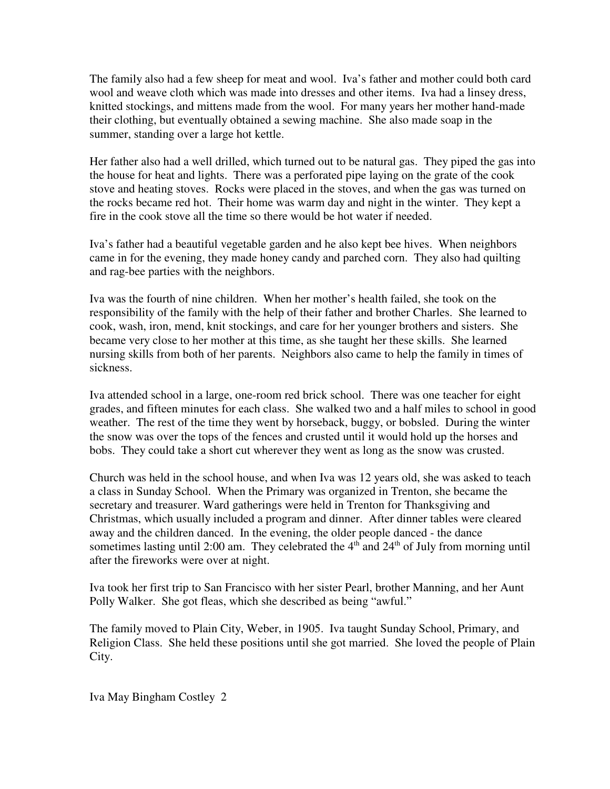The family also had a few sheep for meat and wool. Iva's father and mother could both card wool and weave cloth which was made into dresses and other items. Iva had a linsey dress, knitted stockings, and mittens made from the wool. For many years her mother hand-made their clothing, but eventually obtained a sewing machine. She also made soap in the summer, standing over a large hot kettle.

Her father also had a well drilled, which turned out to be natural gas. They piped the gas into the house for heat and lights. There was a perforated pipe laying on the grate of the cook stove and heating stoves. Rocks were placed in the stoves, and when the gas was turned on the rocks became red hot. Their home was warm day and night in the winter. They kept a fire in the cook stove all the time so there would be hot water if needed.

Iva's father had a beautiful vegetable garden and he also kept bee hives. When neighbors came in for the evening, they made honey candy and parched corn. They also had quilting and rag-bee parties with the neighbors.

Iva was the fourth of nine children. When her mother's health failed, she took on the responsibility of the family with the help of their father and brother Charles. She learned to cook, wash, iron, mend, knit stockings, and care for her younger brothers and sisters. She became very close to her mother at this time, as she taught her these skills. She learned nursing skills from both of her parents. Neighbors also came to help the family in times of sickness.

Iva attended school in a large, one-room red brick school. There was one teacher for eight grades, and fifteen minutes for each class. She walked two and a half miles to school in good weather. The rest of the time they went by horseback, buggy, or bobsled. During the winter the snow was over the tops of the fences and crusted until it would hold up the horses and bobs. They could take a short cut wherever they went as long as the snow was crusted.

Church was held in the school house, and when Iva was 12 years old, she was asked to teach a class in Sunday School. When the Primary was organized in Trenton, she became the secretary and treasurer. Ward gatherings were held in Trenton for Thanksgiving and Christmas, which usually included a program and dinner. After dinner tables were cleared away and the children danced. In the evening, the older people danced - the dance sometimes lasting until 2:00 am. They celebrated the  $4<sup>th</sup>$  and  $24<sup>th</sup>$  of July from morning until after the fireworks were over at night.

Iva took her first trip to San Francisco with her sister Pearl, brother Manning, and her Aunt Polly Walker. She got fleas, which she described as being "awful."

The family moved to Plain City, Weber, in 1905. Iva taught Sunday School, Primary, and Religion Class. She held these positions until she got married. She loved the people of Plain City.

Iva May Bingham Costley 2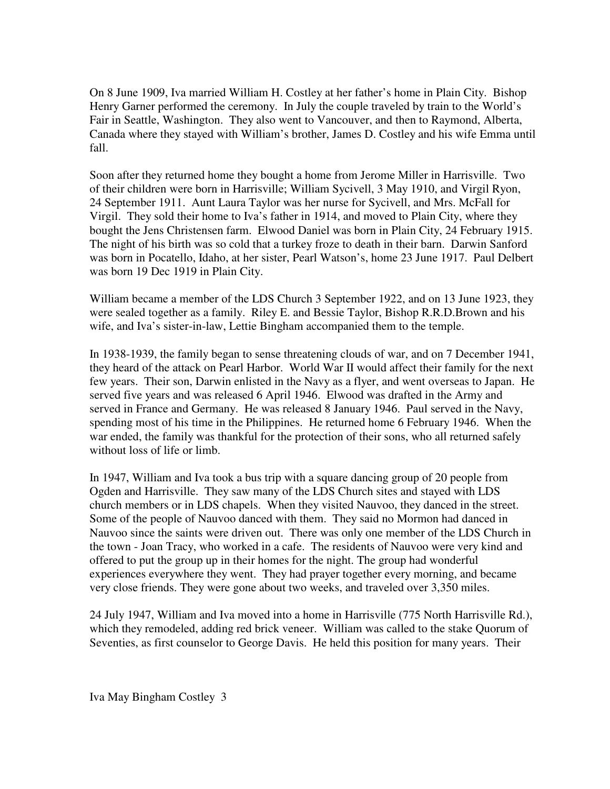On 8 June 1909, Iva married William H. Costley at her father's home in Plain City. Bishop Henry Garner performed the ceremony. In July the couple traveled by train to the World's Fair in Seattle, Washington. They also went to Vancouver, and then to Raymond, Alberta, Canada where they stayed with William's brother, James D. Costley and his wife Emma until fall.

Soon after they returned home they bought a home from Jerome Miller in Harrisville. Two of their children were born in Harrisville; William Sycivell, 3 May 1910, and Virgil Ryon, 24 September 1911. Aunt Laura Taylor was her nurse for Sycivell, and Mrs. McFall for Virgil. They sold their home to Iva's father in 1914, and moved to Plain City, where they bought the Jens Christensen farm. Elwood Daniel was born in Plain City, 24 February 1915. The night of his birth was so cold that a turkey froze to death in their barn. Darwin Sanford was born in Pocatello, Idaho, at her sister, Pearl Watson's, home 23 June 1917. Paul Delbert was born 19 Dec 1919 in Plain City.

William became a member of the LDS Church 3 September 1922, and on 13 June 1923, they were sealed together as a family. Riley E. and Bessie Taylor, Bishop R.R.D.Brown and his wife, and Iva's sister-in-law, Lettie Bingham accompanied them to the temple.

In 1938-1939, the family began to sense threatening clouds of war, and on 7 December 1941, they heard of the attack on Pearl Harbor. World War II would affect their family for the next few years. Their son, Darwin enlisted in the Navy as a flyer, and went overseas to Japan. He served five years and was released 6 April 1946. Elwood was drafted in the Army and served in France and Germany. He was released 8 January 1946. Paul served in the Navy, spending most of his time in the Philippines. He returned home 6 February 1946. When the war ended, the family was thankful for the protection of their sons, who all returned safely without loss of life or limb.

In 1947, William and Iva took a bus trip with a square dancing group of 20 people from Ogden and Harrisville. They saw many of the LDS Church sites and stayed with LDS church members or in LDS chapels. When they visited Nauvoo, they danced in the street. Some of the people of Nauvoo danced with them. They said no Mormon had danced in Nauvoo since the saints were driven out. There was only one member of the LDS Church in the town - Joan Tracy, who worked in a cafe. The residents of Nauvoo were very kind and offered to put the group up in their homes for the night. The group had wonderful experiences everywhere they went. They had prayer together every morning, and became very close friends. They were gone about two weeks, and traveled over 3,350 miles.

24 July 1947, William and Iva moved into a home in Harrisville (775 North Harrisville Rd.), which they remodeled, adding red brick veneer. William was called to the stake Quorum of Seventies, as first counselor to George Davis. He held this position for many years. Their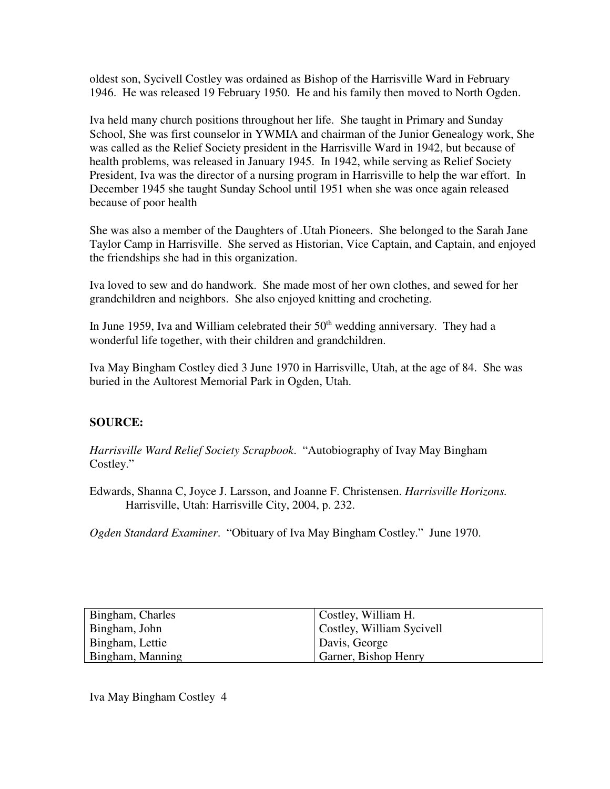oldest son, Sycivell Costley was ordained as Bishop of the Harrisville Ward in February 1946. He was released 19 February 1950. He and his family then moved to North Ogden.

Iva held many church positions throughout her life. She taught in Primary and Sunday School, She was first counselor in YWMIA and chairman of the Junior Genealogy work, She was called as the Relief Society president in the Harrisville Ward in 1942, but because of health problems, was released in January 1945. In 1942, while serving as Relief Society President, Iva was the director of a nursing program in Harrisville to help the war effort. In December 1945 she taught Sunday School until 1951 when she was once again released because of poor health

She was also a member of the Daughters of .Utah Pioneers. She belonged to the Sarah Jane Taylor Camp in Harrisville. She served as Historian, Vice Captain, and Captain, and enjoyed the friendships she had in this organization.

Iva loved to sew and do handwork. She made most of her own clothes, and sewed for her grandchildren and neighbors. She also enjoyed knitting and crocheting.

In June 1959, Iva and William celebrated their  $50<sup>th</sup>$  wedding anniversary. They had a wonderful life together, with their children and grandchildren.

Iva May Bingham Costley died 3 June 1970 in Harrisville, Utah, at the age of 84. She was buried in the Aultorest Memorial Park in Ogden, Utah.

## **SOURCE:**

*Harrisville Ward Relief Society Scrapbook*. "Autobiography of Ivay May Bingham Costley."

Edwards, Shanna C, Joyce J. Larsson, and Joanne F. Christensen. *Harrisville Horizons.* Harrisville, Utah: Harrisville City, 2004, p. 232.

*Ogden Standard Examiner*. "Obituary of Iva May Bingham Costley." June 1970.

| Bingham, Charles | Costley, William H.       |
|------------------|---------------------------|
| Bingham, John    | Costley, William Sycivell |
| Bingham, Lettie  | Davis, George             |
| Bingham, Manning | Garner, Bishop Henry      |

Iva May Bingham Costley 4